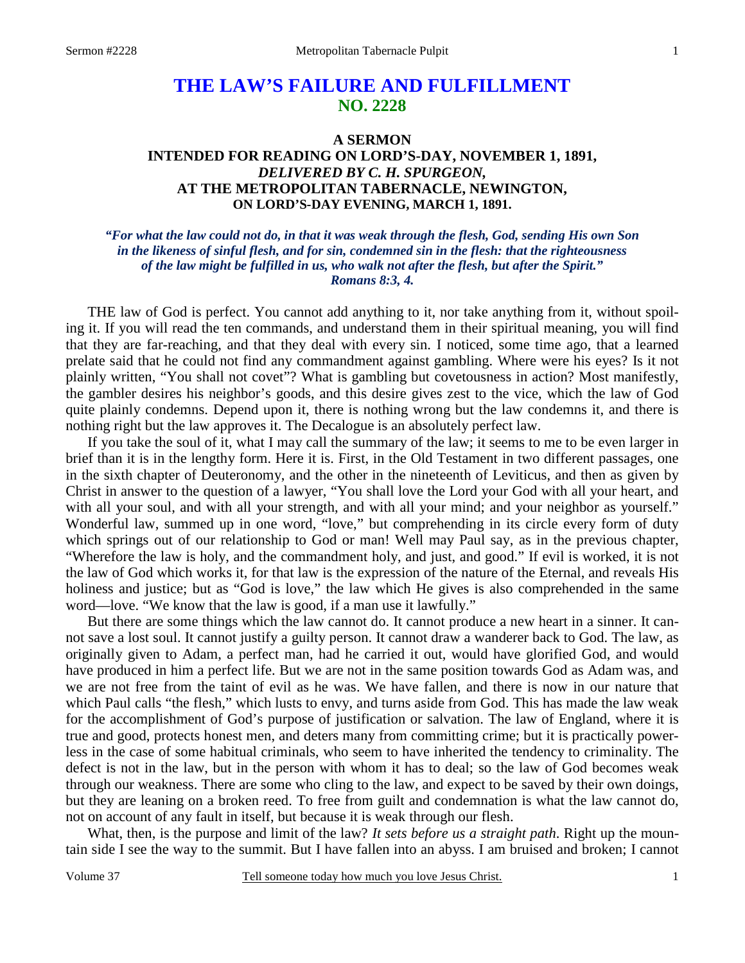# **THE LAW'S FAILURE AND FULFILLMENT NO. 2228**

## **A SERMON INTENDED FOR READING ON LORD'S-DAY, NOVEMBER 1, 1891,**  *DELIVERED BY C. H. SPURGEON,*  **AT THE METROPOLITAN TABERNACLE, NEWINGTON, ON LORD'S-DAY EVENING, MARCH 1, 1891.**

#### *"For what the law could not do, in that it was weak through the flesh, God, sending His own Son in the likeness of sinful flesh, and for sin, condemned sin in the flesh: that the righteousness of the law might be fulfilled in us, who walk not after the flesh, but after the Spirit." Romans 8:3, 4.*

THE law of God is perfect. You cannot add anything to it, nor take anything from it, without spoiling it. If you will read the ten commands, and understand them in their spiritual meaning, you will find that they are far-reaching, and that they deal with every sin. I noticed, some time ago, that a learned prelate said that he could not find any commandment against gambling. Where were his eyes? Is it not plainly written, "You shall not covet"? What is gambling but covetousness in action? Most manifestly, the gambler desires his neighbor's goods, and this desire gives zest to the vice, which the law of God quite plainly condemns. Depend upon it, there is nothing wrong but the law condemns it, and there is nothing right but the law approves it. The Decalogue is an absolutely perfect law.

 If you take the soul of it, what I may call the summary of the law; it seems to me to be even larger in brief than it is in the lengthy form. Here it is. First, in the Old Testament in two different passages, one in the sixth chapter of Deuteronomy, and the other in the nineteenth of Leviticus, and then as given by Christ in answer to the question of a lawyer, "You shall love the Lord your God with all your heart, and with all your soul, and with all your strength, and with all your mind; and your neighbor as yourself." Wonderful law, summed up in one word, "love," but comprehending in its circle every form of duty which springs out of our relationship to God or man! Well may Paul say, as in the previous chapter, "Wherefore the law is holy, and the commandment holy, and just, and good." If evil is worked, it is not the law of God which works it, for that law is the expression of the nature of the Eternal, and reveals His holiness and justice; but as "God is love," the law which He gives is also comprehended in the same word—love. "We know that the law is good, if a man use it lawfully."

 But there are some things which the law cannot do. It cannot produce a new heart in a sinner. It cannot save a lost soul. It cannot justify a guilty person. It cannot draw a wanderer back to God. The law, as originally given to Adam, a perfect man, had he carried it out, would have glorified God, and would have produced in him a perfect life. But we are not in the same position towards God as Adam was, and we are not free from the taint of evil as he was. We have fallen, and there is now in our nature that which Paul calls "the flesh," which lusts to envy, and turns aside from God. This has made the law weak for the accomplishment of God's purpose of justification or salvation. The law of England, where it is true and good, protects honest men, and deters many from committing crime; but it is practically powerless in the case of some habitual criminals, who seem to have inherited the tendency to criminality. The defect is not in the law, but in the person with whom it has to deal; so the law of God becomes weak through our weakness. There are some who cling to the law, and expect to be saved by their own doings, but they are leaning on a broken reed. To free from guilt and condemnation is what the law cannot do, not on account of any fault in itself, but because it is weak through our flesh.

 What, then, is the purpose and limit of the law? *It sets before us a straight path*. Right up the mountain side I see the way to the summit. But I have fallen into an abyss. I am bruised and broken; I cannot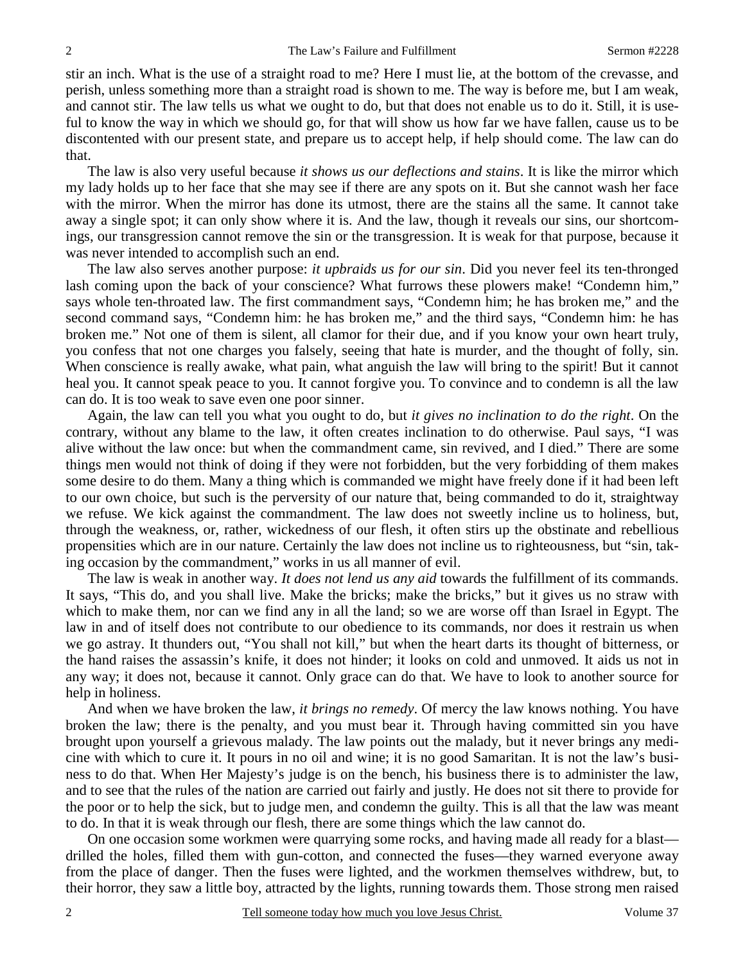stir an inch. What is the use of a straight road to me? Here I must lie, at the bottom of the crevasse, and perish, unless something more than a straight road is shown to me. The way is before me, but I am weak, and cannot stir. The law tells us what we ought to do, but that does not enable us to do it. Still, it is useful to know the way in which we should go, for that will show us how far we have fallen, cause us to be discontented with our present state, and prepare us to accept help, if help should come. The law can do that.

 The law is also very useful because *it shows us our deflections and stains*. It is like the mirror which my lady holds up to her face that she may see if there are any spots on it. But she cannot wash her face with the mirror. When the mirror has done its utmost, there are the stains all the same. It cannot take away a single spot; it can only show where it is. And the law, though it reveals our sins, our shortcomings, our transgression cannot remove the sin or the transgression. It is weak for that purpose, because it was never intended to accomplish such an end.

 The law also serves another purpose: *it upbraids us for our sin*. Did you never feel its ten-thronged lash coming upon the back of your conscience? What furrows these plowers make! "Condemn him," says whole ten-throated law. The first commandment says, "Condemn him; he has broken me," and the second command says, "Condemn him: he has broken me," and the third says, "Condemn him: he has broken me." Not one of them is silent, all clamor for their due, and if you know your own heart truly, you confess that not one charges you falsely, seeing that hate is murder, and the thought of folly, sin. When conscience is really awake, what pain, what anguish the law will bring to the spirit! But it cannot heal you. It cannot speak peace to you. It cannot forgive you. To convince and to condemn is all the law can do. It is too weak to save even one poor sinner.

 Again, the law can tell you what you ought to do, but *it gives no inclination to do the right*. On the contrary, without any blame to the law, it often creates inclination to do otherwise. Paul says, "I was alive without the law once: but when the commandment came, sin revived, and I died." There are some things men would not think of doing if they were not forbidden, but the very forbidding of them makes some desire to do them. Many a thing which is commanded we might have freely done if it had been left to our own choice, but such is the perversity of our nature that, being commanded to do it, straightway we refuse. We kick against the commandment. The law does not sweetly incline us to holiness, but, through the weakness, or, rather, wickedness of our flesh, it often stirs up the obstinate and rebellious propensities which are in our nature. Certainly the law does not incline us to righteousness, but "sin, taking occasion by the commandment," works in us all manner of evil.

 The law is weak in another way. *It does not lend us any aid* towards the fulfillment of its commands. It says, "This do, and you shall live. Make the bricks; make the bricks," but it gives us no straw with which to make them, nor can we find any in all the land; so we are worse off than Israel in Egypt. The law in and of itself does not contribute to our obedience to its commands, nor does it restrain us when we go astray. It thunders out, "You shall not kill," but when the heart darts its thought of bitterness, or the hand raises the assassin's knife, it does not hinder; it looks on cold and unmoved. It aids us not in any way; it does not, because it cannot. Only grace can do that. We have to look to another source for help in holiness.

 And when we have broken the law, *it brings no remedy*. Of mercy the law knows nothing. You have broken the law; there is the penalty, and you must bear it. Through having committed sin you have brought upon yourself a grievous malady. The law points out the malady, but it never brings any medicine with which to cure it. It pours in no oil and wine; it is no good Samaritan. It is not the law's business to do that. When Her Majesty's judge is on the bench, his business there is to administer the law, and to see that the rules of the nation are carried out fairly and justly. He does not sit there to provide for the poor or to help the sick, but to judge men, and condemn the guilty. This is all that the law was meant to do. In that it is weak through our flesh, there are some things which the law cannot do.

 On one occasion some workmen were quarrying some rocks, and having made all ready for a blast drilled the holes, filled them with gun-cotton, and connected the fuses—they warned everyone away from the place of danger. Then the fuses were lighted, and the workmen themselves withdrew, but, to their horror, they saw a little boy, attracted by the lights, running towards them. Those strong men raised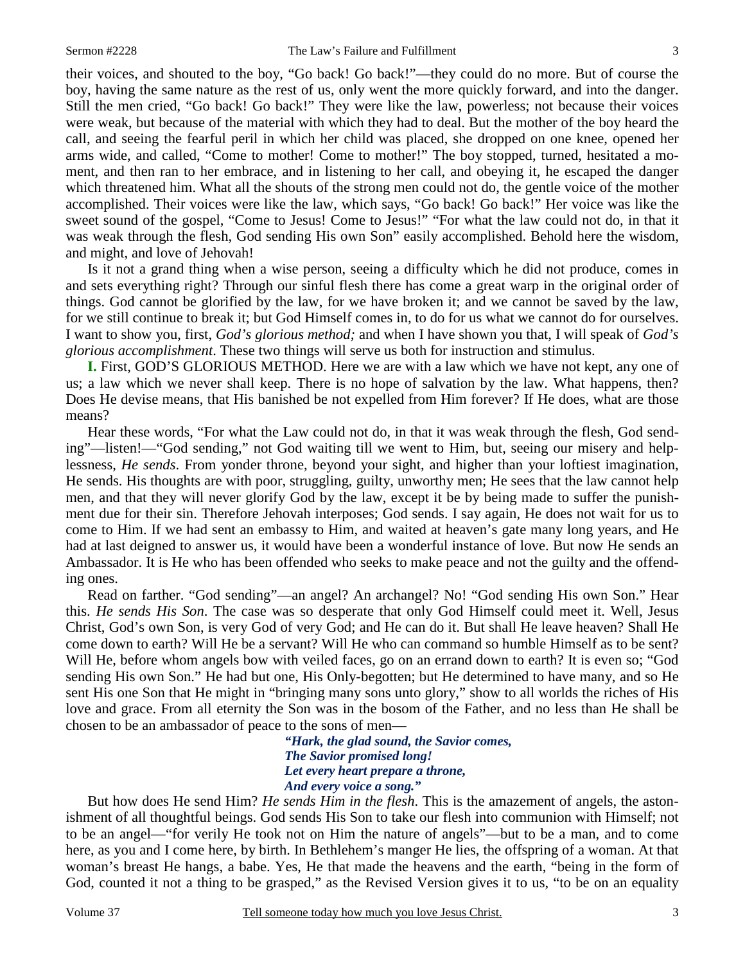their voices, and shouted to the boy, "Go back! Go back!"—they could do no more. But of course the boy, having the same nature as the rest of us, only went the more quickly forward, and into the danger. Still the men cried, "Go back! Go back!" They were like the law, powerless; not because their voices were weak, but because of the material with which they had to deal. But the mother of the boy heard the call, and seeing the fearful peril in which her child was placed, she dropped on one knee, opened her arms wide, and called, "Come to mother! Come to mother!" The boy stopped, turned, hesitated a moment, and then ran to her embrace, and in listening to her call, and obeying it, he escaped the danger which threatened him. What all the shouts of the strong men could not do, the gentle voice of the mother accomplished. Their voices were like the law, which says, "Go back! Go back!" Her voice was like the sweet sound of the gospel, "Come to Jesus! Come to Jesus!" "For what the law could not do, in that it was weak through the flesh, God sending His own Son" easily accomplished. Behold here the wisdom, and might, and love of Jehovah!

 Is it not a grand thing when a wise person, seeing a difficulty which he did not produce, comes in and sets everything right? Through our sinful flesh there has come a great warp in the original order of things. God cannot be glorified by the law, for we have broken it; and we cannot be saved by the law, for we still continue to break it; but God Himself comes in, to do for us what we cannot do for ourselves. I want to show you, first, *God's glorious method;* and when I have shown you that, I will speak of *God's glorious accomplishment*. These two things will serve us both for instruction and stimulus.

**I.** First, GOD'S GLORIOUS METHOD. Here we are with a law which we have not kept, any one of us; a law which we never shall keep. There is no hope of salvation by the law. What happens, then? Does He devise means, that His banished be not expelled from Him forever? If He does, what are those means?

 Hear these words, "For what the Law could not do, in that it was weak through the flesh, God sending"—listen!—"God sending," not God waiting till we went to Him, but, seeing our misery and helplessness, *He sends*. From yonder throne, beyond your sight, and higher than your loftiest imagination, He sends. His thoughts are with poor, struggling, guilty, unworthy men; He sees that the law cannot help men, and that they will never glorify God by the law, except it be by being made to suffer the punishment due for their sin. Therefore Jehovah interposes; God sends. I say again, He does not wait for us to come to Him. If we had sent an embassy to Him, and waited at heaven's gate many long years, and He had at last deigned to answer us, it would have been a wonderful instance of love. But now He sends an Ambassador. It is He who has been offended who seeks to make peace and not the guilty and the offending ones.

 Read on farther. "God sending"—an angel? An archangel? No! "God sending His own Son." Hear this. *He sends His Son*. The case was so desperate that only God Himself could meet it. Well, Jesus Christ, God's own Son, is very God of very God; and He can do it. But shall He leave heaven? Shall He come down to earth? Will He be a servant? Will He who can command so humble Himself as to be sent? Will He, before whom angels bow with veiled faces, go on an errand down to earth? It is even so; "God sending His own Son." He had but one, His Only-begotten; but He determined to have many, and so He sent His one Son that He might in "bringing many sons unto glory," show to all worlds the riches of His love and grace. From all eternity the Son was in the bosom of the Father, and no less than He shall be chosen to be an ambassador of peace to the sons of men—

> *"Hark, the glad sound, the Savior comes, The Savior promised long! Let every heart prepare a throne, And every voice a song."*

But how does He send Him? *He sends Him in the flesh*. This is the amazement of angels, the astonishment of all thoughtful beings. God sends His Son to take our flesh into communion with Himself; not to be an angel—"for verily He took not on Him the nature of angels"—but to be a man, and to come here, as you and I come here, by birth. In Bethlehem's manger He lies, the offspring of a woman. At that woman's breast He hangs, a babe. Yes, He that made the heavens and the earth, "being in the form of God, counted it not a thing to be grasped," as the Revised Version gives it to us, "to be on an equality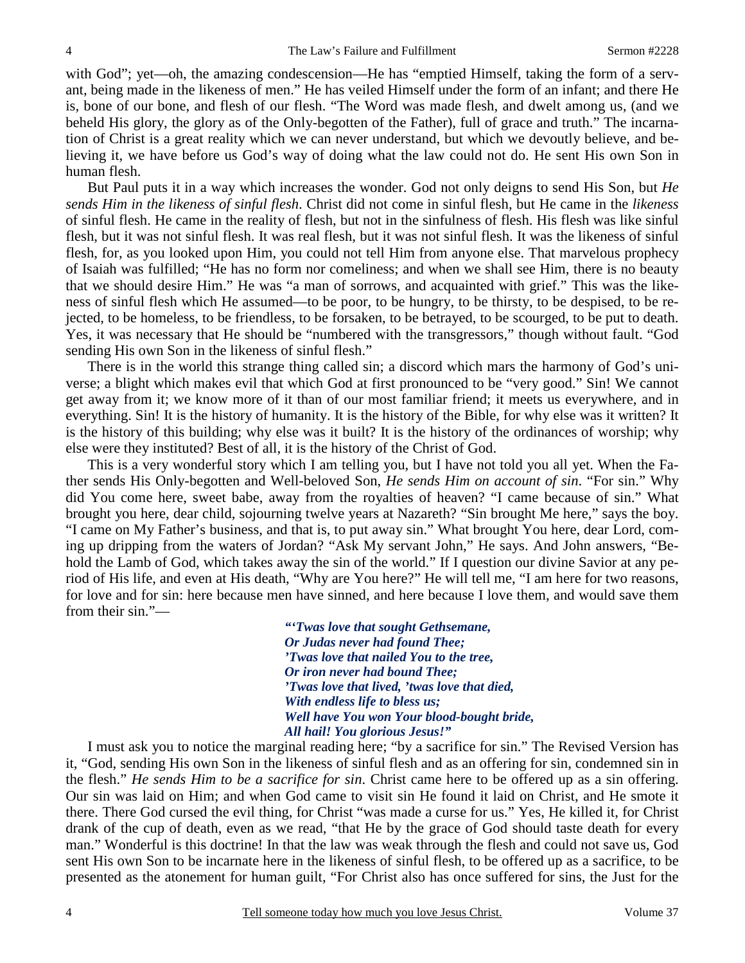with God"; yet—oh, the amazing condescension—He has "emptied Himself, taking the form of a servant, being made in the likeness of men." He has veiled Himself under the form of an infant; and there He is, bone of our bone, and flesh of our flesh. "The Word was made flesh, and dwelt among us, (and we beheld His glory, the glory as of the Only-begotten of the Father), full of grace and truth." The incarnation of Christ is a great reality which we can never understand, but which we devoutly believe, and believing it, we have before us God's way of doing what the law could not do. He sent His own Son in human flesh.

 But Paul puts it in a way which increases the wonder. God not only deigns to send His Son, but *He sends Him in the likeness of sinful flesh*. Christ did not come in sinful flesh, but He came in the *likeness* of sinful flesh. He came in the reality of flesh, but not in the sinfulness of flesh. His flesh was like sinful flesh, but it was not sinful flesh. It was real flesh, but it was not sinful flesh. It was the likeness of sinful flesh, for, as you looked upon Him, you could not tell Him from anyone else. That marvelous prophecy of Isaiah was fulfilled; "He has no form nor comeliness; and when we shall see Him, there is no beauty that we should desire Him." He was "a man of sorrows, and acquainted with grief." This was the likeness of sinful flesh which He assumed—to be poor, to be hungry, to be thirsty, to be despised, to be rejected, to be homeless, to be friendless, to be forsaken, to be betrayed, to be scourged, to be put to death. Yes, it was necessary that He should be "numbered with the transgressors," though without fault. "God sending His own Son in the likeness of sinful flesh."

 There is in the world this strange thing called sin; a discord which mars the harmony of God's universe; a blight which makes evil that which God at first pronounced to be "very good." Sin! We cannot get away from it; we know more of it than of our most familiar friend; it meets us everywhere, and in everything. Sin! It is the history of humanity. It is the history of the Bible, for why else was it written? It is the history of this building; why else was it built? It is the history of the ordinances of worship; why else were they instituted? Best of all, it is the history of the Christ of God.

 This is a very wonderful story which I am telling you, but I have not told you all yet. When the Father sends His Only-begotten and Well-beloved Son, *He sends Him on account of sin*. "For sin." Why did You come here, sweet babe, away from the royalties of heaven? "I came because of sin." What brought you here, dear child, sojourning twelve years at Nazareth? "Sin brought Me here," says the boy. "I came on My Father's business, and that is, to put away sin." What brought You here, dear Lord, coming up dripping from the waters of Jordan? "Ask My servant John," He says. And John answers, "Behold the Lamb of God, which takes away the sin of the world." If I question our divine Savior at any period of His life, and even at His death, "Why are You here?" He will tell me, "I am here for two reasons, for love and for sin: here because men have sinned, and here because I love them, and would save them from their sin."—

> *"'Twas love that sought Gethsemane, Or Judas never had found Thee; 'Twas love that nailed You to the tree, Or iron never had bound Thee; 'Twas love that lived, 'twas love that died, With endless life to bless us; Well have You won Your blood-bought bride, All hail! You glorious Jesus!"*

I must ask you to notice the marginal reading here; "by a sacrifice for sin." The Revised Version has it, "God, sending His own Son in the likeness of sinful flesh and as an offering for sin, condemned sin in the flesh." *He sends Him to be a sacrifice for sin*. Christ came here to be offered up as a sin offering. Our sin was laid on Him; and when God came to visit sin He found it laid on Christ, and He smote it there. There God cursed the evil thing, for Christ "was made a curse for us." Yes, He killed it, for Christ drank of the cup of death, even as we read, "that He by the grace of God should taste death for every man." Wonderful is this doctrine! In that the law was weak through the flesh and could not save us, God sent His own Son to be incarnate here in the likeness of sinful flesh, to be offered up as a sacrifice, to be presented as the atonement for human guilt, "For Christ also has once suffered for sins, the Just for the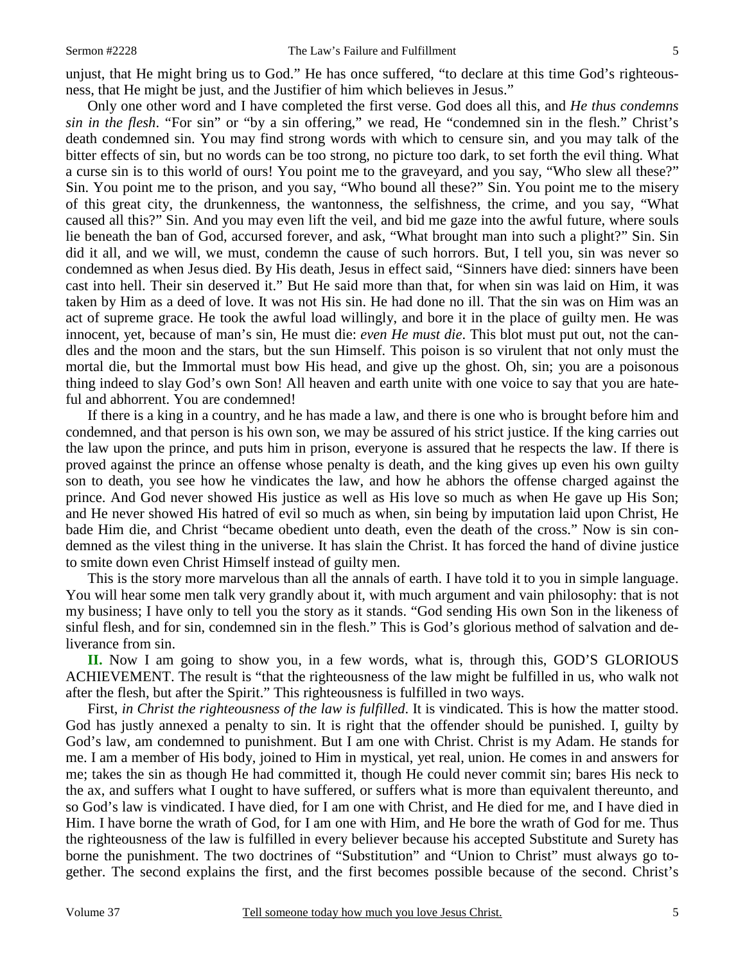unjust, that He might bring us to God." He has once suffered, "to declare at this time God's righteousness, that He might be just, and the Justifier of him which believes in Jesus."

 Only one other word and I have completed the first verse. God does all this, and *He thus condemns sin in the flesh*. "For sin" or "by a sin offering," we read, He "condemned sin in the flesh." Christ's death condemned sin. You may find strong words with which to censure sin, and you may talk of the bitter effects of sin, but no words can be too strong, no picture too dark, to set forth the evil thing. What a curse sin is to this world of ours! You point me to the graveyard, and you say, "Who slew all these?" Sin. You point me to the prison, and you say, "Who bound all these?" Sin. You point me to the misery of this great city, the drunkenness, the wantonness, the selfishness, the crime, and you say, "What caused all this?" Sin. And you may even lift the veil, and bid me gaze into the awful future, where souls lie beneath the ban of God, accursed forever, and ask, "What brought man into such a plight?" Sin. Sin did it all, and we will, we must, condemn the cause of such horrors. But, I tell you, sin was never so condemned as when Jesus died. By His death, Jesus in effect said, "Sinners have died: sinners have been cast into hell. Their sin deserved it." But He said more than that, for when sin was laid on Him, it was taken by Him as a deed of love. It was not His sin. He had done no ill. That the sin was on Him was an act of supreme grace. He took the awful load willingly, and bore it in the place of guilty men. He was innocent, yet, because of man's sin, He must die: *even He must die*. This blot must put out, not the candles and the moon and the stars, but the sun Himself. This poison is so virulent that not only must the mortal die, but the Immortal must bow His head, and give up the ghost. Oh, sin; you are a poisonous thing indeed to slay God's own Son! All heaven and earth unite with one voice to say that you are hateful and abhorrent. You are condemned!

 If there is a king in a country, and he has made a law, and there is one who is brought before him and condemned, and that person is his own son, we may be assured of his strict justice. If the king carries out the law upon the prince, and puts him in prison, everyone is assured that he respects the law. If there is proved against the prince an offense whose penalty is death, and the king gives up even his own guilty son to death, you see how he vindicates the law, and how he abhors the offense charged against the prince. And God never showed His justice as well as His love so much as when He gave up His Son; and He never showed His hatred of evil so much as when, sin being by imputation laid upon Christ, He bade Him die, and Christ "became obedient unto death, even the death of the cross." Now is sin condemned as the vilest thing in the universe. It has slain the Christ. It has forced the hand of divine justice to smite down even Christ Himself instead of guilty men.

 This is the story more marvelous than all the annals of earth. I have told it to you in simple language. You will hear some men talk very grandly about it, with much argument and vain philosophy: that is not my business; I have only to tell you the story as it stands. "God sending His own Son in the likeness of sinful flesh, and for sin, condemned sin in the flesh." This is God's glorious method of salvation and deliverance from sin.

**II.** Now I am going to show you, in a few words, what is, through this, GOD'S GLORIOUS ACHIEVEMENT. The result is "that the righteousness of the law might be fulfilled in us, who walk not after the flesh, but after the Spirit." This righteousness is fulfilled in two ways.

 First, *in Christ the righteousness of the law is fulfilled*. It is vindicated. This is how the matter stood. God has justly annexed a penalty to sin. It is right that the offender should be punished. I, guilty by God's law, am condemned to punishment. But I am one with Christ. Christ is my Adam. He stands for me. I am a member of His body, joined to Him in mystical, yet real, union. He comes in and answers for me; takes the sin as though He had committed it, though He could never commit sin; bares His neck to the ax, and suffers what I ought to have suffered, or suffers what is more than equivalent thereunto, and so God's law is vindicated. I have died, for I am one with Christ, and He died for me, and I have died in Him. I have borne the wrath of God, for I am one with Him, and He bore the wrath of God for me. Thus the righteousness of the law is fulfilled in every believer because his accepted Substitute and Surety has borne the punishment. The two doctrines of "Substitution" and "Union to Christ" must always go together. The second explains the first, and the first becomes possible because of the second. Christ's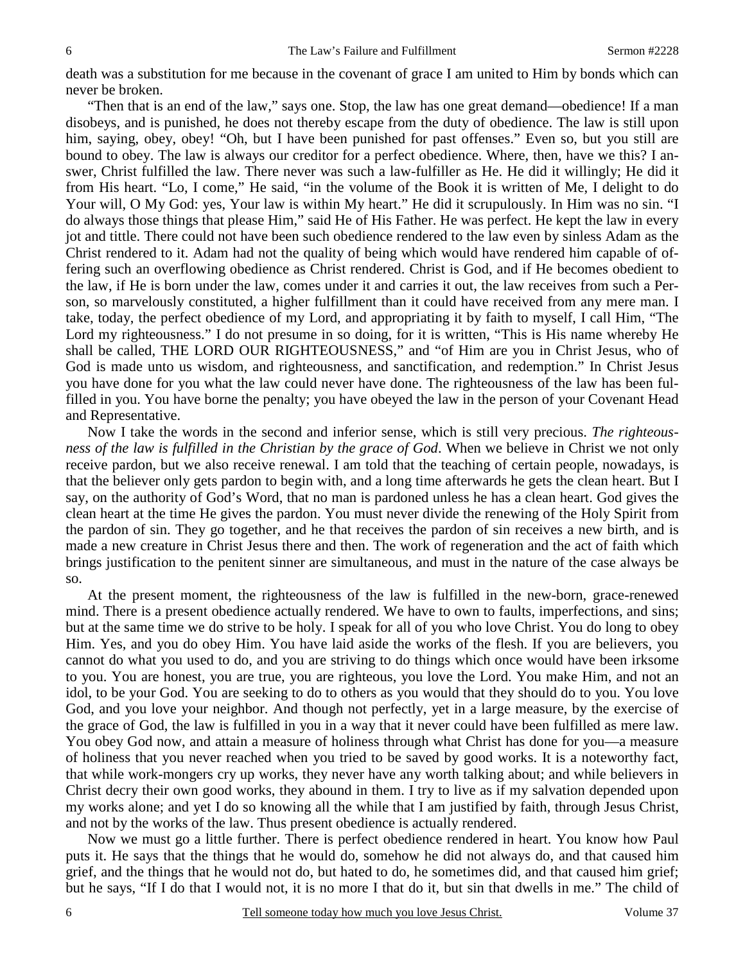death was a substitution for me because in the covenant of grace I am united to Him by bonds which can never be broken.

 "Then that is an end of the law," says one. Stop, the law has one great demand—obedience! If a man disobeys, and is punished, he does not thereby escape from the duty of obedience. The law is still upon him, saying, obey, obey! "Oh, but I have been punished for past offenses." Even so, but you still are bound to obey. The law is always our creditor for a perfect obedience. Where, then, have we this? I answer, Christ fulfilled the law. There never was such a law-fulfiller as He. He did it willingly; He did it from His heart. "Lo, I come," He said, "in the volume of the Book it is written of Me, I delight to do Your will, O My God: yes, Your law is within My heart." He did it scrupulously. In Him was no sin. "I do always those things that please Him," said He of His Father. He was perfect. He kept the law in every jot and tittle. There could not have been such obedience rendered to the law even by sinless Adam as the Christ rendered to it. Adam had not the quality of being which would have rendered him capable of offering such an overflowing obedience as Christ rendered. Christ is God, and if He becomes obedient to the law, if He is born under the law, comes under it and carries it out, the law receives from such a Person, so marvelously constituted, a higher fulfillment than it could have received from any mere man. I take, today, the perfect obedience of my Lord, and appropriating it by faith to myself, I call Him, "The Lord my righteousness." I do not presume in so doing, for it is written, "This is His name whereby He shall be called, THE LORD OUR RIGHTEOUSNESS," and "of Him are you in Christ Jesus, who of God is made unto us wisdom, and righteousness, and sanctification, and redemption." In Christ Jesus you have done for you what the law could never have done. The righteousness of the law has been fulfilled in you. You have borne the penalty; you have obeyed the law in the person of your Covenant Head and Representative.

 Now I take the words in the second and inferior sense, which is still very precious. *The righteousness of the law is fulfilled in the Christian by the grace of God*. When we believe in Christ we not only receive pardon, but we also receive renewal. I am told that the teaching of certain people, nowadays, is that the believer only gets pardon to begin with, and a long time afterwards he gets the clean heart. But I say, on the authority of God's Word, that no man is pardoned unless he has a clean heart. God gives the clean heart at the time He gives the pardon. You must never divide the renewing of the Holy Spirit from the pardon of sin. They go together, and he that receives the pardon of sin receives a new birth, and is made a new creature in Christ Jesus there and then. The work of regeneration and the act of faith which brings justification to the penitent sinner are simultaneous, and must in the nature of the case always be so.

 At the present moment, the righteousness of the law is fulfilled in the new-born, grace-renewed mind. There is a present obedience actually rendered. We have to own to faults, imperfections, and sins; but at the same time we do strive to be holy. I speak for all of you who love Christ. You do long to obey Him. Yes, and you do obey Him. You have laid aside the works of the flesh. If you are believers, you cannot do what you used to do, and you are striving to do things which once would have been irksome to you. You are honest, you are true, you are righteous, you love the Lord. You make Him, and not an idol, to be your God. You are seeking to do to others as you would that they should do to you. You love God, and you love your neighbor. And though not perfectly, yet in a large measure, by the exercise of the grace of God, the law is fulfilled in you in a way that it never could have been fulfilled as mere law. You obey God now, and attain a measure of holiness through what Christ has done for you—a measure of holiness that you never reached when you tried to be saved by good works. It is a noteworthy fact, that while work-mongers cry up works, they never have any worth talking about; and while believers in Christ decry their own good works, they abound in them. I try to live as if my salvation depended upon my works alone; and yet I do so knowing all the while that I am justified by faith, through Jesus Christ, and not by the works of the law. Thus present obedience is actually rendered.

 Now we must go a little further. There is perfect obedience rendered in heart. You know how Paul puts it. He says that the things that he would do, somehow he did not always do, and that caused him grief, and the things that he would not do, but hated to do, he sometimes did, and that caused him grief; but he says, "If I do that I would not, it is no more I that do it, but sin that dwells in me." The child of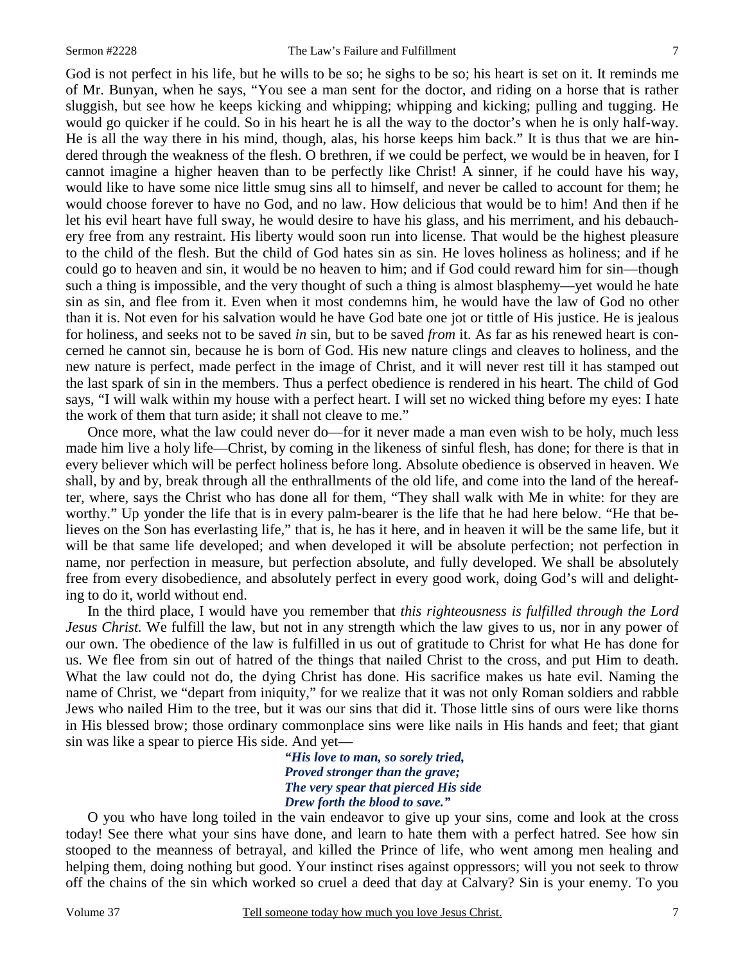God is not perfect in his life, but he wills to be so; he sighs to be so; his heart is set on it. It reminds me of Mr. Bunyan, when he says, "You see a man sent for the doctor, and riding on a horse that is rather sluggish, but see how he keeps kicking and whipping; whipping and kicking; pulling and tugging. He would go quicker if he could. So in his heart he is all the way to the doctor's when he is only half-way. He is all the way there in his mind, though, alas, his horse keeps him back." It is thus that we are hindered through the weakness of the flesh. O brethren, if we could be perfect, we would be in heaven, for I cannot imagine a higher heaven than to be perfectly like Christ! A sinner, if he could have his way, would like to have some nice little smug sins all to himself, and never be called to account for them; he would choose forever to have no God, and no law. How delicious that would be to him! And then if he let his evil heart have full sway, he would desire to have his glass, and his merriment, and his debauchery free from any restraint. His liberty would soon run into license. That would be the highest pleasure to the child of the flesh. But the child of God hates sin as sin. He loves holiness as holiness; and if he could go to heaven and sin, it would be no heaven to him; and if God could reward him for sin—though such a thing is impossible, and the very thought of such a thing is almost blasphemy—yet would he hate sin as sin, and flee from it. Even when it most condemns him, he would have the law of God no other than it is. Not even for his salvation would he have God bate one jot or tittle of His justice. He is jealous for holiness, and seeks not to be saved *in* sin, but to be saved *from* it. As far as his renewed heart is concerned he cannot sin, because he is born of God. His new nature clings and cleaves to holiness, and the new nature is perfect, made perfect in the image of Christ, and it will never rest till it has stamped out the last spark of sin in the members. Thus a perfect obedience is rendered in his heart. The child of God says, "I will walk within my house with a perfect heart. I will set no wicked thing before my eyes: I hate the work of them that turn aside; it shall not cleave to me."

 Once more, what the law could never do—for it never made a man even wish to be holy, much less made him live a holy life—Christ, by coming in the likeness of sinful flesh, has done; for there is that in every believer which will be perfect holiness before long. Absolute obedience is observed in heaven. We shall, by and by, break through all the enthrallments of the old life, and come into the land of the hereafter, where, says the Christ who has done all for them, "They shall walk with Me in white: for they are worthy." Up yonder the life that is in every palm-bearer is the life that he had here below. "He that believes on the Son has everlasting life," that is, he has it here, and in heaven it will be the same life, but it will be that same life developed; and when developed it will be absolute perfection; not perfection in name, nor perfection in measure, but perfection absolute, and fully developed. We shall be absolutely free from every disobedience, and absolutely perfect in every good work, doing God's will and delighting to do it, world without end.

 In the third place, I would have you remember that *this righteousness is fulfilled through the Lord Jesus Christ.* We fulfill the law, but not in any strength which the law gives to us, nor in any power of our own. The obedience of the law is fulfilled in us out of gratitude to Christ for what He has done for us. We flee from sin out of hatred of the things that nailed Christ to the cross, and put Him to death. What the law could not do, the dying Christ has done. His sacrifice makes us hate evil. Naming the name of Christ, we "depart from iniquity," for we realize that it was not only Roman soldiers and rabble Jews who nailed Him to the tree, but it was our sins that did it. Those little sins of ours were like thorns in His blessed brow; those ordinary commonplace sins were like nails in His hands and feet; that giant sin was like a spear to pierce His side. And yet—

> *"His love to man, so sorely tried, Proved stronger than the grave; The very spear that pierced His side Drew forth the blood to save."*

O you who have long toiled in the vain endeavor to give up your sins, come and look at the cross today! See there what your sins have done, and learn to hate them with a perfect hatred. See how sin stooped to the meanness of betrayal, and killed the Prince of life, who went among men healing and helping them, doing nothing but good. Your instinct rises against oppressors; will you not seek to throw off the chains of the sin which worked so cruel a deed that day at Calvary? Sin is your enemy. To you